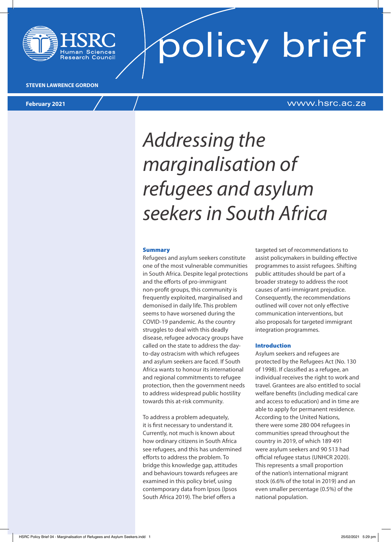

policy brief

#### **STEVEN LAWRENCE GORDON**

### **February 2021** www.hsrc.ac.za

### *Addressing the marginalisation of refugees and asylum seekers in South Africa*

#### Summary

Refugees and asylum seekers constitute one of the most vulnerable communities in South Africa. Despite legal protections and the efforts of pro-immigrant non-profit groups, this community is frequently exploited, marginalised and demonised in daily life. This problem seems to have worsened during the COVID-19 pandemic. As the country struggles to deal with this deadly disease, refugee advocacy groups have called on the state to address the dayto-day ostracism with which refugees and asylum seekers are faced. If South Africa wants to honour its international and regional commitments to refugee protection, then the government needs to address widespread public hostility towards this at-risk community.

To address a problem adequately, it is first necessary to understand it. Currently, not much is known about how ordinary citizens in South Africa see refugees, and this has undermined efforts to address the problem. To bridge this knowledge gap, attitudes and behaviours towards refugees are examined in this policy brief, using contemporary data from Ipsos (Ipsos South Africa 2019). The brief offers a

targeted set of recommendations to assist policymakers in building effective programmes to assist refugees. Shifting public attitudes should be part of a broader strategy to address the root causes of anti-immigrant prejudice. Consequently, the recommendations outlined will cover not only effective communication interventions, but also proposals for targeted immigrant integration programmes.

#### Introduction

Asylum seekers and refugees are protected by the Refugees Act (No. 130 of 1998). If classified as a refugee, an individual receives the right to work and travel. Grantees are also entitled to social welfare benefits (including medical care and access to education) and in time are able to apply for permanent residence. According to the United Nations, there were some 280 004 refugees in communities spread throughout the country in 2019, of which 189 491 were asylum seekers and 90 513 had official refugee status (UNHCR 2020). This represents a small proportion of the nation's international migrant stock (6.6% of the total in 2019) and an even smaller percentage (0.5%) of the national population.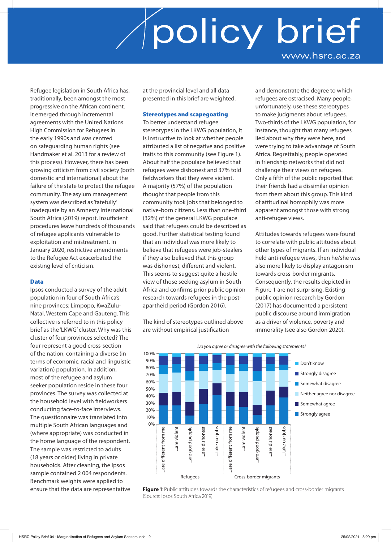Refugee legislation in South Africa has, traditionally, been amongst the most progressive on the African continent. It emerged through incremental agreements with the United Nations High Commission for Refugees in the early 1990s and was centred on safeguarding human rights (see Handmaker et al. 2013 for a review of this process). However, there has been growing criticism from civil society (both domestic and international) about the failure of the state to protect the refugee community. The asylum management system was described as 'fatefully' inadequate by an Amnesty International South Africa (2019) report. Insufficient procedures leave hundreds of thousands of refugee applicants vulnerable to exploitation and mistreatment. In January 2020, restrictive amendments to the Refugee Act exacerbated the existing level of criticism.

### Data

Ipsos conducted a survey of the adult population in four of South Africa's nine provinces: Limpopo, KwaZulu-Natal, Western Cape and Gauteng. This collective is referred to in this policy brief as the 'LKWG' cluster. Why was this cluster of four provinces selected? The four represent a good cross-section of the nation, containing a diverse (in terms of economic, racial and linguistic variation) population. In addition, most of the refugee and asylum seeker population reside in these four provinces. The survey was collected at the household level with fieldworkers conducting face-to-face interviews. The questionnaire was translated into multiple South African languages and (where appropriate) was conducted in the home language of the respondent. The sample was restricted to adults (18 years or older) living in private households. After cleaning, the Ipsos sample contained 2 004 respondents. Benchmark weights were applied to ensure that the data are representative

at the provincial level and all data presented in this brief are weighted.

#### Stereotypes and scapegoating

To better understand refugee stereotypes in the LKWG population, it is instructive to look at whether people attributed a list of negative and positive traits to this community (see Figure 1). About half the populace believed that refugees were dishonest and 37% told fieldworkers that they were violent. A majority (57%) of the population thought that people from this community took jobs that belonged to native-born citizens. Less than one-third (32%) of the general LKWG populace said that refugees could be described as good. Further statistical testing found that an individual was more likely to believe that refugees were job-stealers if they also believed that this group was dishonest, different and violent. This seems to suggest quite a hostile view of those seeking asylum in South Africa and confirms prior public opinion research towards refugees in the postapartheid period (Gordon 2016).

The kind of stereotypes outlined above are without empirical justification

and demonstrate the degree to which refugees are ostracised. Many people, unfortunately, use these stereotypes to make judgments about refugees. Two-thirds of the LKWG population, for instance, thought that many refugees lied about why they were here, and were trying to take advantage of South Africa. Regrettably, people operated in friendship networks that did not challenge their views on refugees. Only a fifth of the public reported that their friends had a dissimilar opinion from them about this group. This kind of attitudinal homophily was more apparent amongst those with strong anti-refugee views.

Attitudes towards refugees were found to correlate with public attitudes about other types of migrants. If an individual held anti-refugee views, then he/she was also more likely to display antagonism towards cross-border migrants. Consequently, the results depicted in Figure 1 are not surprising. Existing public opinion research by Gordon (2017) has documented a persistent public discourse around immigration as a driver of violence, poverty and immorality (see also Gordon 2020).





**Figure 1**: Public attitudes towards the characteristics of refugees and cross-border migrants (Source: Ipsos South Africa 2019)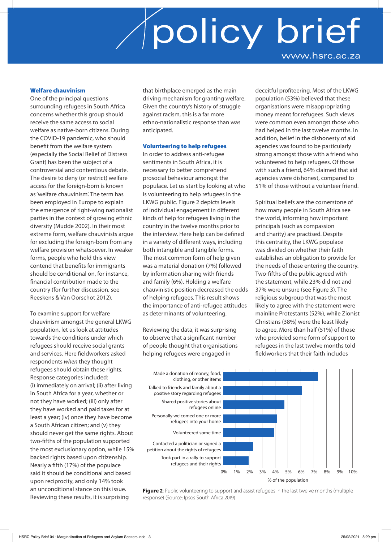### Welfare chauvinism

One of the principal questions surrounding refugees in South Africa concerns whether this group should receive the same access to social welfare as native-born citizens. During the COVID-19 pandemic, who should benefit from the welfare system (especially the Social Relief of Distress Grant) has been the subject of a controversial and contentious debate. The desire to deny (or restrict) welfare access for the foreign-born is known as 'welfare chauvinism'. The term has been employed in Europe to explain the emergence of right-wing nationalist parties in the context of growing ethnic diversity (Mudde 2002). In their most extreme form, welfare chauvinists argue for excluding the foreign-born from any welfare provision whatsoever. In weaker forms, people who hold this view contend that benefits for immigrants should be conditional on, for instance, financial contribution made to the country (for further discussion, see Reeskens & Van Oorschot 2012).

To examine support for welfare chauvinism amongst the general LKWG population, let us look at attitudes towards the conditions under which refugees should receive social grants and services. Here fieldworkers asked respondents *when* they thought refugees should obtain these rights. Response categories included: (i) immediately on arrival; (ii) after living in South Africa for a year, whether or not they have worked; (iii) only after they have worked and paid taxes for at least a year; (iv) once they have become a South African citizen; and (v) they should never get the same rights. About two-fifths of the population supported the most exclusionary option, while 15% backed rights based upon citizenship. Nearly a fifth (17%) of the populace said it should be conditional and based upon reciprocity, and only 14% took an unconditional stance on this issue. Reviewing these results, it is surprising

that birthplace emerged as the main driving mechanism for granting welfare. Given the country's history of struggle against racism, this is a far more ethno-nationalistic response than was anticipated.

### Volunteering to help refugees

In order to address anti-refugee sentiments in South Africa, it is necessary to better comprehend prosocial behaviour amongst the populace. Let us start by looking at who is volunteering to help refugees in the LKWG public. Figure 2 depicts levels of individual engagement in different kinds of help for refugees living in the country in the twelve months prior to the interview. Here help can be defined in a variety of different ways, including both intangible and tangible forms. The most common form of help given was a material donation (7%) followed by information sharing with friends and family (6%). Holding a welfare chauvinistic position decreased the odds of helping refugees. This result shows the importance of anti-refugee attitudes as determinants of volunteering.

Reviewing the data, it was surprising to observe that a significant number of people thought that organisations helping refugees were engaged in

deceitful profiteering. Most of the LKWG population (53%) believed that these organisations were misappropriating money meant for refugees. Such views were common even amongst those who had helped in the last twelve months. In addition, belief in the dishonesty of aid agencies was found to be particularly strong amongst those with a friend who volunteered to help refugees. Of those with such a friend, 64% claimed that aid agencies were dishonest, compared to 51% of those without a volunteer friend.

Spiritual beliefs are the cornerstone of how many people in South Africa see the world, informing how important principals (such as compassion and charity) are practised. Despite this centrality, the LKWG populace was divided on whether their faith establishes an obligation to provide for the needs of those entering the country. Two-fifths of the public agreed with the statement, while 23% did not and 37% were unsure (see Figure 3). The religious subgroup that was the most likely to agree with the statement were mainline Protestants (52%), while Zionist Christians (38%) were the least likely to agree. More than half (51%) of those who provided some form of support to refugees in the last twelve months told fieldworkers that their faith includes



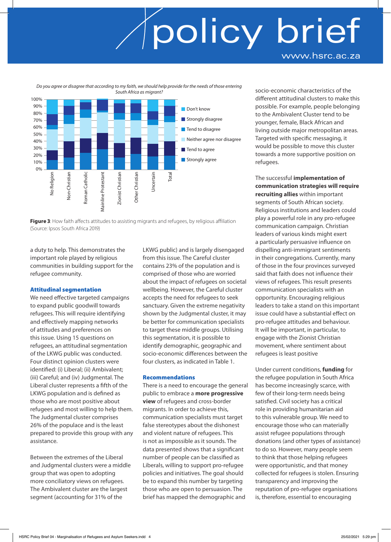*Do you agree or disagree that according to my faith, we should help provide for the needs of those entering* 



**Figure 3:** How faith affects attitudes to assisting migrants and refugees, by religious affiliation (Source: Ipsos South Africa 2019)

a duty to help. This demonstrates the important role played by religious communities in building support for the refugee community.

### Attitudinal segmentation

We need effective targeted campaigns to expand public goodwill towards refugees. This will require identifying and effectively mapping networks of attitudes and preferences on this issue. Using 15 questions on refugees, an attitudinal segmentation of the LKWG public was conducted. Four distinct opinion clusters were identified: (i) Liberal; (ii) Ambivalent; (iii) Careful; and (iv) Judgmental. The Liberal cluster represents a fifth of the LKWG population and is defined as those who are most positive about refugees and most willing to help them. The Judgmental cluster comprises 26% of the populace and is the least prepared to provide this group with any assistance.

Between the extremes of the Liberal and Judgmental clusters were a middle group that was open to adopting more conciliatory views on refugees. The Ambivalent cluster are the largest segment (accounting for 31% of the

LKWG public) and is largely disengaged from this issue. The Careful cluster contains 23% of the population and is comprised of those who are worried about the impact of refugees on societal wellbeing. However, the Careful cluster accepts the need for refugees to seek sanctuary. Given the extreme negativity shown by the Judgmental cluster, it may be better for communication specialists to target these middle groups. Utilising this segmentation, it is possible to identify demographic, geographic and socio-economic differences between the four clusters, as indicated in Table 1.

#### Recommendations

There is a need to encourage the general public to embrace a **more progressive view** of refugees and cross-border migrants. In order to achieve this, communication specialists must target false stereotypes about the dishonest and violent nature of refugees. This is not as impossible as it sounds. The data presented shows that a significant number of people can be classified as Liberals, willing to support pro-refugee policies and initiatives. The goal should be to expand this number by targeting those who are open to persuasion. The brief has mapped the demographic and

socio-economic characteristics of the different attitudinal clusters to make this possible. For example, people belonging to the Ambivalent Cluster tend to be younger, female, Black African and living outside major metropolitan areas. Targeted with specific messaging, it would be possible to move this cluster towards a more supportive position on refugees.

The successful **implementation of communication strategies will require recruiting allies** within important segments of South African society. Religious institutions and leaders could play a powerful role in any pro-refugee communication campaign. Christian leaders of various kinds might exert a particularly persuasive influence on dispelling anti-immigrant sentiments in their congregations. Currently, many of those in the four provinces surveyed said that faith does not influence their views of refugees. This result presents communication specialists with an opportunity. Encouraging religious leaders to take a stand on this important issue could have a substantial effect on pro-refugee attitudes and behaviour. It will be important, in particular, to engage with the Zionist Christian movement, where sentiment about refugees is least positive

Under current conditions, **funding** for the refugee population in South Africa has become increasingly scarce, with few of their long-term needs being satisfied. Civil society has a critical role in providing humanitarian aid to this vulnerable group. We need to encourage those who can materially assist refugee populations through donations (and other types of assistance) to do so. However, many people seem to think that those helping refugees were opportunistic, and that money collected for refugees is stolen. Ensuring transparency and improving the reputation of pro-refugee organisations is, therefore, essential to encouraging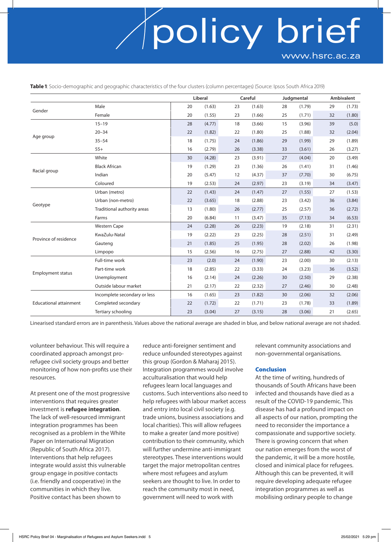**Table 1**: Socio-demographic and geographic characteristics of the four clusters (column percentages) (Source: Ipsos South Africa 2019)

|                               |                              | Liberal |        |    | Careful |    | Judgmental |    | Ambivalent |  |
|-------------------------------|------------------------------|---------|--------|----|---------|----|------------|----|------------|--|
| Gender                        | Male                         | 20      | (1.63) | 23 | (1.63)  | 28 | (1.79)     | 29 | (1.73)     |  |
|                               | Female                       | 20      | (1.55) | 23 | (1.66)  | 25 | (1.71)     | 32 | (1.80)     |  |
| Age group                     | $15 - 19$                    | 28      | (4.77) | 18 | (3.66)  | 15 | (3.96)     | 39 | (5.0)      |  |
|                               | $20 - 34$                    | 22      | (1.82) | 22 | (1.80)  | 25 | (1.88)     | 32 | (2.04)     |  |
|                               | $35 - 54$                    | 18      | (1.75) | 24 | (1.86)  | 29 | (1.99)     | 29 | (1.89)     |  |
|                               | $55+$                        | 16      | (2.79) | 26 | (3.38)  | 33 | (3.61)     | 26 | (3.27)     |  |
| Racial group                  | White                        | 30      | (4.28) | 23 | (3.91)  | 27 | (4.04)     | 20 | (3.49)     |  |
|                               | <b>Black African</b>         | 19      | (1.29) | 23 | (1.36)  | 26 | (1.41)     | 31 | (1.46)     |  |
|                               | Indian                       | 20      | (5.47) | 12 | (4.37)  | 37 | (7.70)     | 30 | (6.75)     |  |
|                               | Coloured                     | 19      | (2.53) | 24 | (2.97)  | 23 | (3.19)     | 34 | (3.47)     |  |
| Geotype                       | Urban (metro)                | 22      | (1.43) | 24 | (1.47)  | 27 | (1.55)     | 27 | (1.53)     |  |
|                               | Urban (non-metro)            | 22      | (3.65) | 18 | (2.88)  | 23 | (3.42)     | 36 | (3.84)     |  |
|                               | Traditional authority areas  | 13      | (1.80) | 26 | (2.77)  | 25 | (2.57)     | 36 | (2.72)     |  |
|                               | Farms                        | 20      | (6.84) | 11 | (3.47)  | 35 | (7.13)     | 34 | (6.53)     |  |
| Province of residence         | <b>Western Cape</b>          | 24      | (2.28) | 26 | (2.23)  | 19 | (2.18)     | 31 | (2.31)     |  |
|                               | KwaZulu-Natal                | 19      | (2.22) | 23 | (2.25)  | 28 | (2.51)     | 31 | (2.49)     |  |
|                               | Gauteng                      | 21      | (1.85) | 25 | (1.95)  | 28 | (2.02)     | 26 | (1.98)     |  |
|                               | Limpopo                      | 15      | (2.56) | 16 | (2.75)  | 27 | (2.88)     | 42 | (3.30)     |  |
| <b>Employment status</b>      | Full-time work               | 23      | (2.0)  | 24 | (1.90)  | 23 | (2.00)     | 30 | (2.13)     |  |
|                               | Part-time work               | 18      | (2.85) | 22 | (3.33)  | 24 | (3.23)     | 36 | (3.52)     |  |
|                               | Unemployment                 | 16      | (2.14) | 24 | (2.26)  | 30 | (2.50)     | 29 | (2.38)     |  |
|                               | Outside labour market        | 21      | (2.17) | 22 | (2.32)  | 27 | (2.46)     | 30 | (2.48)     |  |
| <b>Educational attainment</b> | Incomplete secondary or less | 16      | (1.65) | 23 | (1.82)  | 30 | (2.06)     | 32 | (2.06)     |  |
|                               | Completed secondary          | 22      | (1.72) | 22 | (1.71)  | 23 | (1.78)     | 33 | (1.89)     |  |
|                               | Tertiary schooling           | 23      | (3.04) | 27 | (3.15)  | 28 | (3.06)     | 21 | (2.65)     |  |

Linearised standard errors are in parenthesis. Values above the national average are shaded in blue, and below national average are not shaded.

volunteer behaviour. This will require a coordinated approach amongst prorefugee civil society groups and better monitoring of how non-profits use their resources.

At present one of the most progressive interventions that requires greater investment is **refugee integration**. The lack of well-resourced immigrant integration programmes has been recognised as a problem in the White Paper on International Migration (Republic of South Africa 2017). Interventions that help refugees integrate would assist this vulnerable group engage in positive contacts (i.e. friendly and cooperative) in the communities in which they live. Positive contact has been shown to

reduce anti-foreigner sentiment and reduce unfounded stereotypes against this group (Gordon & Maharaj 2015). Integration programmes would involve acculturalisation that would help refugees learn local languages and customs. Such interventions also need to help refugees with labour market access and entry into local civil society (e.g. trade unions, business associations and local charities). This will allow refugees to make a greater (and more positive) contribution to their community, which will further undermine anti-immigrant stereotypes. These interventions would target the major metropolitan centres where most refugees and asylum seekers are thought to live. In order to reach the community most in need, government will need to work with

relevant community associations and non-governmental organisations.

#### Conclusion

At the time of writing, hundreds of thousands of South Africans have been infected and thousands have died as a result of the COVID-19 pandemic. This disease has had a profound impact on all aspects of our nation, prompting the need to reconsider the importance a compassionate and supportive society. There is growing concern that when our nation emerges from the worst of the pandemic, it will be a more hostile, closed and inimical place for refugees. Although this can be prevented, it will require developing adequate refugee integration programmes as well as mobilising ordinary people to change